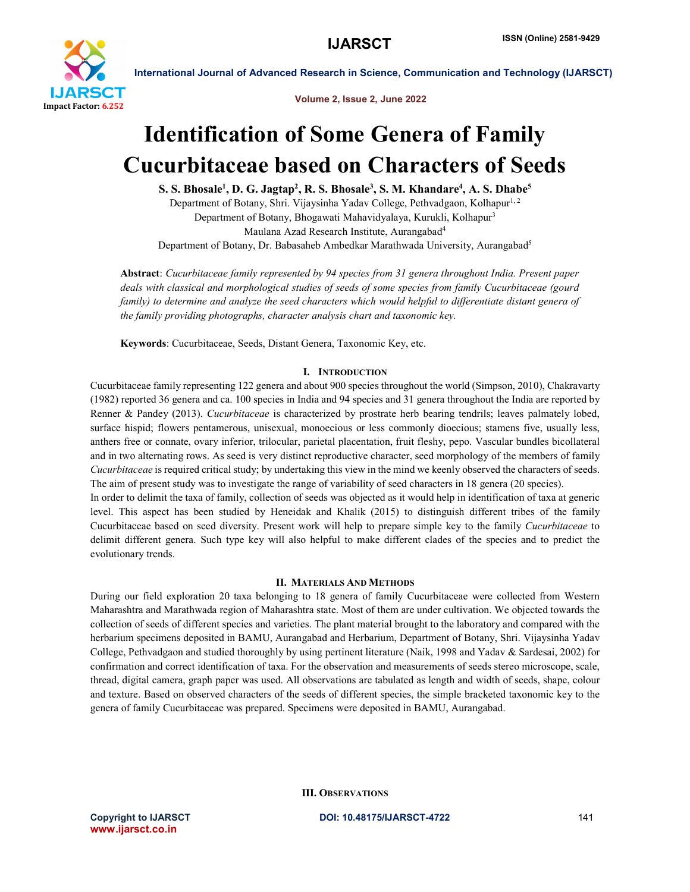

Volume 2, Issue 2, June 2022

# Identification of Some Genera of Family Cucurbitaceae based on Characters of Seeds

S. S. Bhosale<sup>1</sup>, D. G. Jagtap<sup>2</sup>, R. S. Bhosale<sup>3</sup>, S. M. Khandare<sup>4</sup>, A. S. Dhabe<sup>5</sup>

Department of Botany, Shri. Vijaysinha Yadav College, Pethvadgaon, Kolhapur<sup>1, 2</sup> Department of Botany, Bhogawati Mahavidyalaya, Kurukli, Kolhapur3 Maulana Azad Research Institute, Aurangabad4 Department of Botany, Dr. Babasaheb Ambedkar Marathwada University, Aurangabad<sup>5</sup>

Abstract: *Cucurbitaceae family represented by 94 species from 31 genera throughout India. Present paper deals with classical and morphological studies of seeds of some species from family Cucurbitaceae (gourd family) to determine and analyze the seed characters which would helpful to differentiate distant genera of the family providing photographs, character analysis chart and taxonomic key.*

Keywords: Cucurbitaceae, Seeds, Distant Genera, Taxonomic Key, etc.

# I. INTRODUCTION

Cucurbitaceae family representing 122 genera and about 900 species throughout the world (Simpson, 2010), Chakravarty (1982) reported 36 genera and ca. 100 species in India and 94 species and 31 genera throughout the India are reported by Renner & Pandey (2013). *Cucurbitaceae* is characterized by prostrate herb bearing tendrils; leaves palmately lobed, surface hispid; flowers pentamerous, unisexual, monoecious or less commonly dioecious; stamens five, usually less, anthers free or connate, ovary inferior, trilocular, parietal placentation, fruit fleshy, pepo. Vascular bundles bicollateral and in two alternating rows. As seed is very distinct reproductive character, seed morphology of the members of family *Cucurbitaceae* is required critical study; by undertaking this view in the mind we keenly observed the characters of seeds. The aim of present study was to investigate the range of variability of seed characters in 18 genera (20 species).

In order to delimit the taxa of family, collection of seeds was objected as it would help in identification of taxa at generic level. This aspect has been studied by Heneidak and Khalik (2015) to distinguish different tribes of the family Cucurbitaceae based on seed diversity. Present work will help to prepare simple key to the family *Cucurbitaceae* to delimit different genera. Such type key will also helpful to make different clades of the species and to predict the evolutionary trends.

# II. MATERIALS AND METHODS

During our field exploration 20 taxa belonging to 18 genera of family Cucurbitaceae were collected from Western Maharashtra and Marathwada region of Maharashtra state. Most of them are under cultivation. We objected towards the collection of seeds of different species and varieties. The plant material brought to the laboratory and compared with the herbarium specimens deposited in BAMU, Aurangabad and Herbarium, Department of Botany, Shri. Vijaysinha Yadav College, Pethvadgaon and studied thoroughly by using pertinent literature (Naik, 1998 and Yadav & Sardesai, 2002) for confirmation and correct identification of taxa. For the observation and measurements of seeds stereo microscope, scale, thread, digital camera, graph paper was used. All observations are tabulated as length and width of seeds, shape, colour and texture. Based on observed characters of the seeds of different species, the simple bracketed taxonomic key to the genera of family Cucurbitaceae was prepared. Specimens were deposited in BAMU, Aurangabad.

III. OBSERVATIONS

www.ijarsct.co.in

Copyright to IJARSCT **DOI: 10.48175/IJARSCT-4722** 141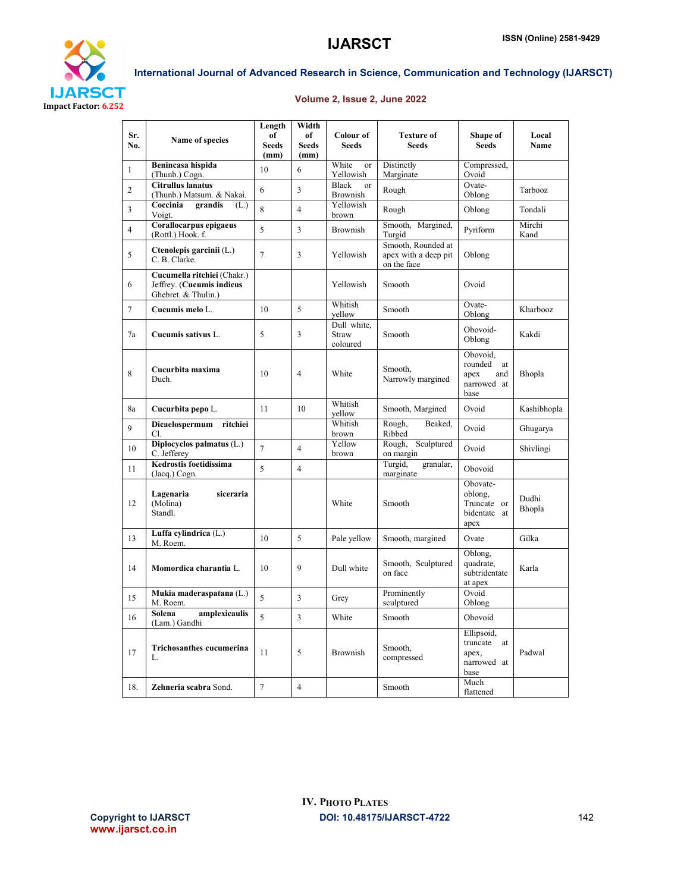

# Volume 2, Issue 2, June 2022

| Sr.<br>No.     | Name of species                                                                 | Length<br>of<br><b>Seeds</b><br>(mm) | Width<br>of<br><b>Seeds</b><br>(mm) | Colour of<br><b>Seeds</b>                   | <b>Texture of</b><br><b>Seeds</b>                         | Shape of<br><b>Seeds</b>                                        | Local<br><b>Name</b> |
|----------------|---------------------------------------------------------------------------------|--------------------------------------|-------------------------------------|---------------------------------------------|-----------------------------------------------------------|-----------------------------------------------------------------|----------------------|
| $\mathbf{1}$   | Benincasa hispida<br>(Thunb.) Cogn.                                             | 10                                   | 6                                   | White<br>or<br>Yellowish                    | Distinctly<br>Marginate                                   | Compressed,<br>Ovoid                                            |                      |
| $\overline{2}$ | <b>Citrullus lanatus</b><br>(Thunb.) Matsum. & Nakai.                           | 6                                    | $\overline{3}$                      | <b>Black</b><br>$\alpha$<br><b>Brownish</b> | Rough                                                     | Ovate-<br>Oblong                                                | Tarbooz              |
| 3              | grandis<br>Coccinia<br>(L.)<br>Voigt.                                           | $\overline{8}$                       | $\overline{4}$                      | Yellowish<br>brown                          | Rough                                                     | Oblong                                                          | Tondali              |
| $\overline{4}$ | Corallocarpus epigaeus<br>(Rottl.) Hook. f.                                     | 5                                    | $\overline{\mathbf{3}}$             | <b>Brownish</b>                             | Smooth, Margined,<br>Turgid                               | Pyriform                                                        | Mirchi<br>Kand       |
| 5              | Ctenolepis garcinii (L.)<br>C. B. Clarke.                                       | $\overline{7}$                       | 3                                   | Yellowish                                   | Smooth, Rounded at<br>apex with a deep pit<br>on the face | Oblong                                                          |                      |
| 6              | Cucumella ritchiei (Chakr.)<br>Jeffrey. (Cucumis indicus<br>Ghebret. & Thulin.) |                                      |                                     | Yellowish                                   | Smooth                                                    | Ovoid                                                           |                      |
| $\tau$         | Cucumis melo L.                                                                 | 10                                   | 5                                   | Whitish<br>vellow                           | Smooth                                                    | Ovate-<br>Oblong                                                | Kharbooz             |
| 7a             | Cucumis sativus L.                                                              | 5                                    | 3                                   | Dull white.<br>Straw<br>coloured            | Smooth                                                    | Obovoid-<br>Oblong                                              | Kakdi                |
| 8              | Cucurbita maxima<br>Duch.                                                       | 10                                   | $\overline{4}$                      | White                                       | Smooth.<br>Narrowly margined                              | Obovoid,<br>rounded<br>at<br>apex<br>and<br>narrowed at<br>base | Bhopla               |
| 8a             | Cucurbita pepo L.                                                               | 11                                   | 10                                  | Whitish<br>yellow                           | Smooth, Margined                                          | Ovoid                                                           | Kashibhopla          |
| $\mathbf{Q}$   | Dicaelospermum<br>ritchiei<br>Cl.                                               |                                      |                                     | Whitish<br>brown                            | Rough,<br>Beaked,<br>Ribbed                               | Ovoid                                                           | Ghugarya             |
| 10             | Diplocyclos palmatus (L.)<br>C. Jefferey                                        | $\overline{7}$                       | $\overline{4}$                      | Yellow<br>brown                             | Sculptured<br>Rough,<br>on margin                         | Ovoid                                                           | Shivlingi            |
| 11             | Kedrostis foetidissima<br>(Jacq.) Cogn.                                         | 5                                    | $\overline{4}$                      |                                             | Turgid,<br>granular,<br>marginate                         | Obovoid                                                         |                      |
| 12             | Lagenaria<br>siceraria<br>(Molina)<br>Standl.                                   |                                      |                                     | White                                       | Smooth                                                    | Obovate-<br>oblong.<br>Truncate or<br>bidentate at<br>apex      | Dudhi<br>Bhopla      |
| 13             | Luffa cylindrica (L.)<br>M. Roem.                                               | 10                                   | 5                                   | Pale vellow                                 | Smooth, margined                                          | Ovate                                                           | Gilka                |
| 14             | Momordica charantia L.                                                          | 10                                   | 9                                   | Dull white                                  | Smooth, Sculptured<br>on face                             | Oblong,<br>quadrate.<br>subtridentate<br>at apex                | Karla                |
| 15             | Mukia maderaspatana (L.)<br>M. Roem.                                            | 5                                    | $\overline{\mathbf{3}}$             | Grey                                        | Prominently<br>sculptured                                 | Ovoid<br>Oblong                                                 |                      |
| 16             | amplexicaulis<br>Solena<br>(Lam.) Gandhi                                        | 5                                    | $\overline{\mathbf{3}}$             | White                                       | Smooth                                                    | Obovoid                                                         |                      |
| 17             | Trichosanthes cucumerina<br>L.                                                  | 11                                   | 5                                   | <b>Brownish</b>                             | Smooth.<br>compressed                                     | Ellipsoid,<br>truncate<br>at<br>apex.<br>narrowed at<br>base    | Padwal               |
| 18.            | Zehneria scabra Sond.                                                           | $\tau$                               | $\overline{4}$                      |                                             | Smooth                                                    | Much<br>flattened                                               |                      |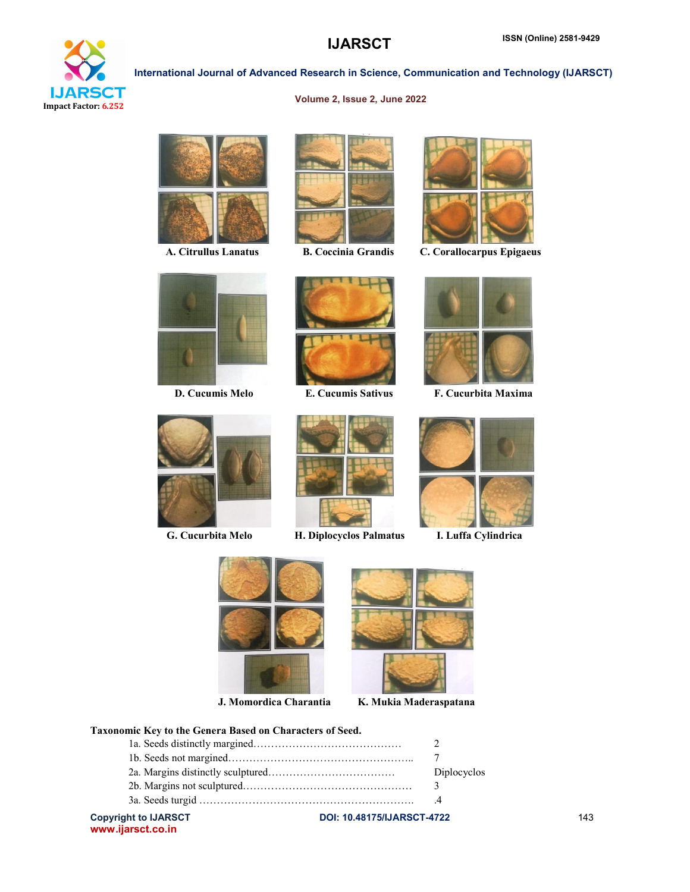

# Volume 2, Issue 2, June 2022

International Journal of Advanced Research in Science, Communication and Technology (IJARSCT)









A. Citrullus Lanatus B. Coccinia Grandis C. Corallocarpus Epigaeus





G. Cucurbita Melo H. Diplocyclos Palmatus I. Luffa Cylindrica





D. Cucumis Melo E. Cucumis Sativus F. Cucurbita Maxima







J. Momordica Charantia K. Mukia Maderaspatana

# Taxonomic Key to the Genera Based on Characters of Seed.

| <b>Copyright to IJARSCT</b> | <b>DOI: 10.48175/IJARSCT-4722</b> | 143 |
|-----------------------------|-----------------------------------|-----|
|                             |                                   |     |
|                             |                                   |     |
|                             | Diplocyclos                       |     |
|                             |                                   |     |
|                             |                                   |     |

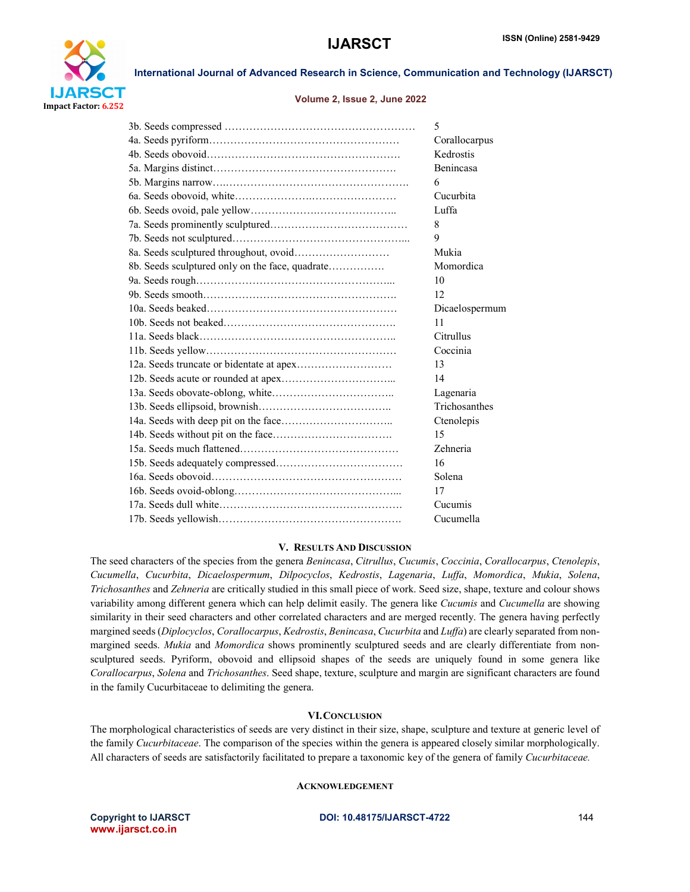

#### Volume 2, Issue 2, June 2022

|                                                 | 5              |
|-------------------------------------------------|----------------|
|                                                 | Corallocarpus  |
|                                                 | Kedrostis      |
|                                                 | Benincasa      |
|                                                 | 6              |
|                                                 | Cucurbita      |
|                                                 | Luffa          |
|                                                 | 8              |
|                                                 | 9              |
|                                                 | Mukia          |
| 8b. Seeds sculptured only on the face, quadrate | Momordica      |
|                                                 | 10             |
|                                                 | 12             |
|                                                 | Dicaelospermum |
|                                                 | 11             |
|                                                 | Citrullus      |
|                                                 | Coccinia       |
|                                                 | 13             |
|                                                 | 14             |
|                                                 | Lagenaria      |
|                                                 | Trichosanthes  |
|                                                 | Ctenolepis     |
|                                                 | 15             |
|                                                 | Zehneria       |
|                                                 | 16             |
|                                                 | Solena         |
|                                                 | 17             |
|                                                 | Cucumis        |
|                                                 | Cucumella      |
|                                                 |                |

#### V. RESULTS AND DISCUSSION

The seed characters of the species from the genera *Benincasa*, *Citrullus*, *Cucumis*, *Coccinia*, *Corallocarpus*, *Ctenolepis*, *Cucumella*, *Cucurbita*, *Dicaelospermum*, *Dilpocyclos*, *Kedrostis*, *Lagenaria*, *Luffa*, *Momordica*, *Mukia*, *Solena*, *Trichosanthes* and *Zehneria* are critically studied in this small piece of work. Seed size, shape, texture and colour shows variability among different genera which can help delimit easily. The genera like *Cucumis* and *Cucumella* are showing similarity in their seed characters and other correlated characters and are merged recently. The genera having perfectly margined seeds (*Diplocyclos*, *Corallocarpus*, *Kedrostis*, *Benincasa*, *Cucurbita* and *Luffa*) are clearly separated from nonmargined seeds. *Mukia* and *Momordica* shows prominently sculptured seeds and are clearly differentiate from nonsculptured seeds. Pyriform, obovoid and ellipsoid shapes of the seeds are uniquely found in some genera like *Corallocarpus*, *Solena* and *Trichosanthes*. Seed shape, texture, sculpture and margin are significant characters are found in the family Cucurbitaceae to delimiting the genera.

### VI.CONCLUSION

The morphological characteristics of seeds are very distinct in their size, shape, sculpture and texture at generic level of the family *Cucurbitaceae*. The comparison of the species within the genera is appeared closely similar morphologically. All characters of seeds are satisfactorily facilitated to prepare a taxonomic key of the genera of family *Cucurbitaceae.*

### ACKNOWLEDGEMENT

www.ijarsct.co.in

### Copyright to IJARSCT **DOI: 10.48175/IJARSCT-4722** 144